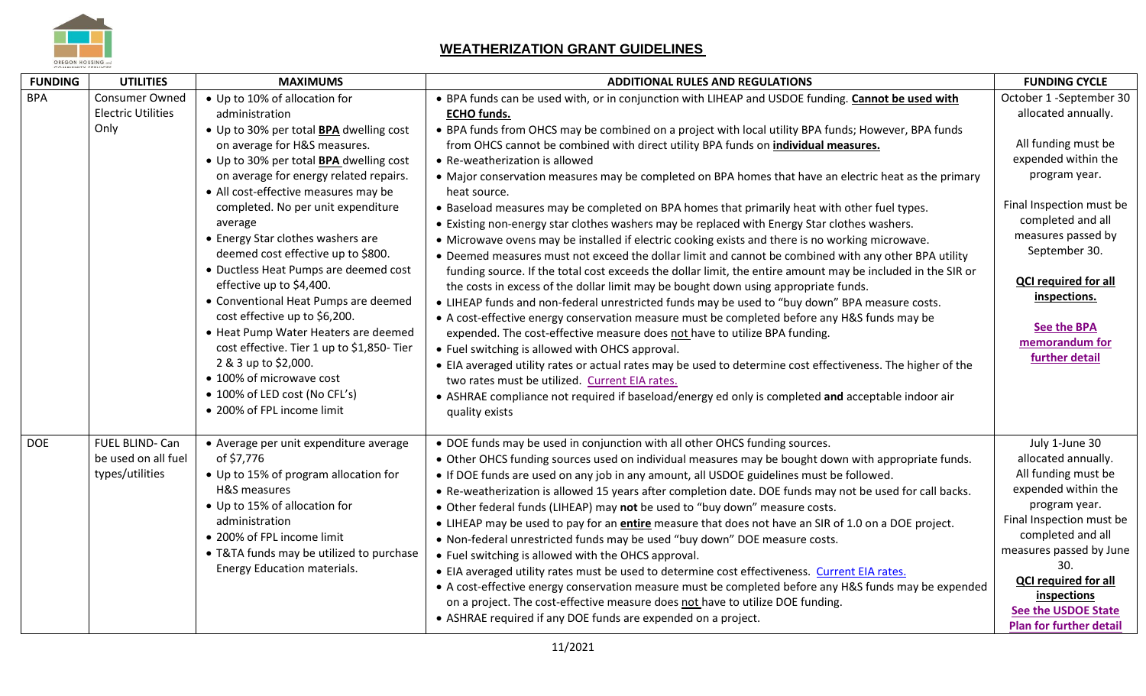

## **WEATHERIZATION GRANT GUIDELINES**

| <b>FUNDING</b> | <b>UTILITIES</b>          | <b>MAXIMUMS</b>                                | <b>ADDITIONAL RULES AND REGULATIONS</b>                                                                     | <b>FUNDING CYCLE</b>             |
|----------------|---------------------------|------------------------------------------------|-------------------------------------------------------------------------------------------------------------|----------------------------------|
| <b>BPA</b>     | <b>Consumer Owned</b>     | • Up to 10% of allocation for                  | . BPA funds can be used with, or in conjunction with LIHEAP and USDOE funding. Cannot be used with          | October 1 -September 30          |
|                | <b>Electric Utilities</b> | administration                                 | <b>ECHO funds.</b>                                                                                          | allocated annually.              |
|                | Only                      | • Up to 30% per total <b>BPA</b> dwelling cost | • BPA funds from OHCS may be combined on a project with local utility BPA funds; However, BPA funds         |                                  |
|                |                           | on average for H&S measures.                   | from OHCS cannot be combined with direct utility BPA funds on individual measures.                          | All funding must be              |
|                |                           | • Up to 30% per total BPA dwelling cost        | • Re-weatherization is allowed                                                                              | expended within the              |
|                |                           | on average for energy related repairs.         | • Major conservation measures may be completed on BPA homes that have an electric heat as the primary       | program year.                    |
|                |                           | • All cost-effective measures may be           | heat source.                                                                                                |                                  |
|                |                           | completed. No per unit expenditure             | . Baseload measures may be completed on BPA homes that primarily heat with other fuel types.                | Final Inspection must be         |
|                |                           | average                                        | • Existing non-energy star clothes washers may be replaced with Energy Star clothes washers.                | completed and all                |
|                |                           | • Energy Star clothes washers are              | . Microwave ovens may be installed if electric cooking exists and there is no working microwave.            | measures passed by               |
|                |                           | deemed cost effective up to \$800.             | • Deemed measures must not exceed the dollar limit and cannot be combined with any other BPA utility        | September 30.                    |
|                |                           | • Ductless Heat Pumps are deemed cost          | funding source. If the total cost exceeds the dollar limit, the entire amount may be included in the SIR or |                                  |
|                |                           | effective up to \$4,400.                       | the costs in excess of the dollar limit may be bought down using appropriate funds.                         | <b>QCI required for all</b>      |
|                |                           | • Conventional Heat Pumps are deemed           | • LIHEAP funds and non-federal unrestricted funds may be used to "buy down" BPA measure costs.              | inspections.                     |
|                |                           | cost effective up to \$6,200.                  | • A cost-effective energy conservation measure must be completed before any H&S funds may be                |                                  |
|                |                           | • Heat Pump Water Heaters are deemed           | expended. The cost-effective measure does not have to utilize BPA funding.                                  | <b>See the BPA</b>               |
|                |                           | cost effective. Tier 1 up to \$1,850- Tier     | • Fuel switching is allowed with OHCS approval.                                                             | memorandum for<br>further detail |
|                |                           | 2 & 3 up to \$2,000.                           | • EIA averaged utility rates or actual rates may be used to determine cost effectiveness. The higher of the |                                  |
|                |                           | • 100% of microwave cost                       | two rates must be utilized. Current EIA rates.                                                              |                                  |
|                |                           | • 100% of LED cost (No CFL's)                  | • ASHRAE compliance not required if baseload/energy ed only is completed and acceptable indoor air          |                                  |
|                |                           | • 200% of FPL income limit                     | quality exists                                                                                              |                                  |
|                |                           |                                                |                                                                                                             |                                  |
| <b>DOE</b>     | FUEL BLIND- Can           | • Average per unit expenditure average         | • DOE funds may be used in conjunction with all other OHCS funding sources.                                 | July 1-June 30                   |
|                | be used on all fuel       | of \$7,776                                     | . Other OHCS funding sources used on individual measures may be bought down with appropriate funds.         | allocated annually.              |
|                | types/utilities           | • Up to 15% of program allocation for          | • If DOE funds are used on any job in any amount, all USDOE guidelines must be followed.                    | All funding must be              |
|                |                           | H&S measures                                   | . Re-weatherization is allowed 15 years after completion date. DOE funds may not be used for call backs.    | expended within the              |
|                |                           | • Up to 15% of allocation for                  | • Other federal funds (LIHEAP) may not be used to "buy down" measure costs.                                 | program year.                    |
|                |                           | administration                                 | • LIHEAP may be used to pay for an entire measure that does not have an SIR of 1.0 on a DOE project.        | Final Inspection must be         |
|                |                           | • 200% of FPL income limit                     | . Non-federal unrestricted funds may be used "buy down" DOE measure costs.                                  | completed and all                |
|                |                           | • T&TA funds may be utilized to purchase       | • Fuel switching is allowed with the OHCS approval.                                                         | measures passed by June          |
|                |                           | Energy Education materials.                    | • EIA averaged utility rates must be used to determine cost effectiveness. Current EIA rates.               | 30.                              |
|                |                           |                                                | • A cost-effective energy conservation measure must be completed before any H&S funds may be expended       | <b>QCI required for all</b>      |
|                |                           |                                                | on a project. The cost-effective measure does not have to utilize DOE funding.                              | inspections                      |
|                |                           |                                                | • ASHRAE required if any DOE funds are expended on a project.                                               | <b>See the USDOE State</b>       |
|                |                           |                                                |                                                                                                             | <b>Plan for further detail</b>   |